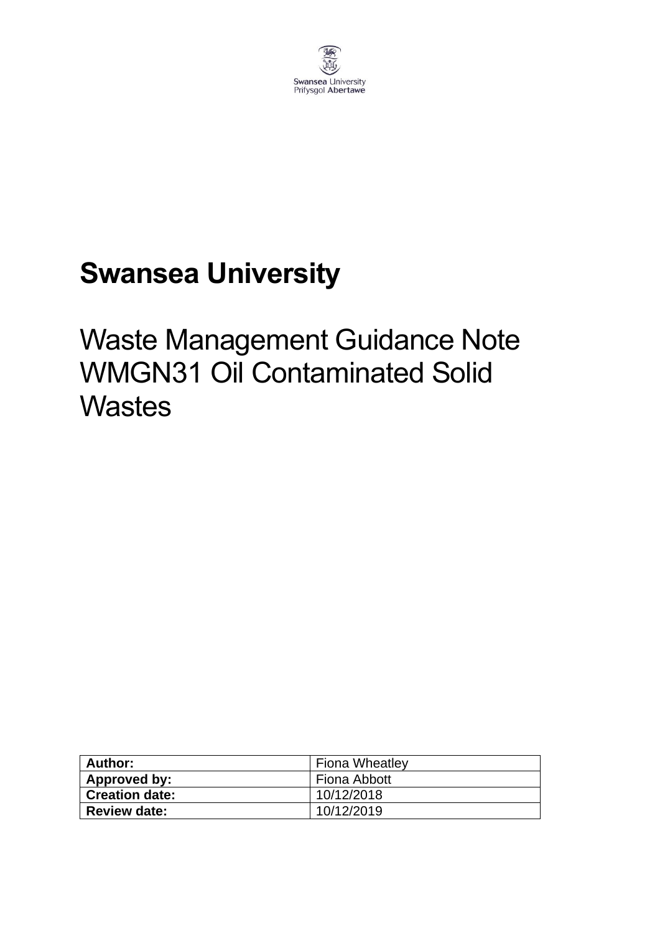

# **Swansea University**

## Waste Management Guidance Note WMGN31 Oil Contaminated Solid **Wastes**

| Author:        | <b>Fiona Wheatley</b> |  |
|----------------|-----------------------|--|
| Approved by:   | Fiona Abbott          |  |
| Creation date: | 10/12/2018            |  |
| Review date:   | 10/12/2019            |  |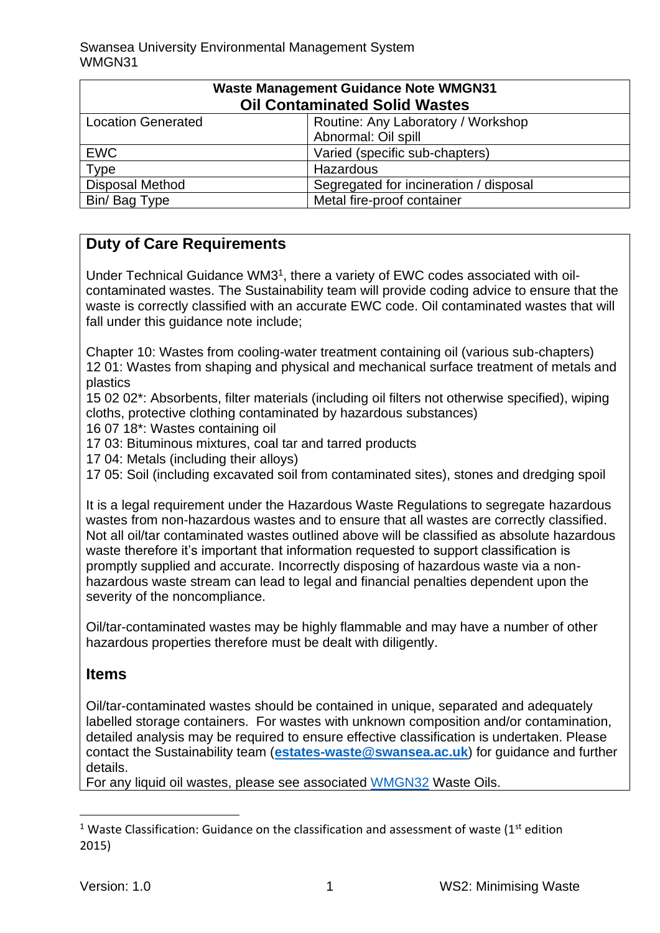| <b>Waste Management Guidance Note WMGN31</b> |                                        |  |
|----------------------------------------------|----------------------------------------|--|
| <b>Oil Contaminated Solid Wastes</b>         |                                        |  |
| <b>Location Generated</b>                    | Routine: Any Laboratory / Workshop     |  |
|                                              | Abnormal: Oil spill                    |  |
| <b>EWC</b>                                   | Varied (specific sub-chapters)         |  |
| <b>Type</b>                                  | Hazardous                              |  |
| <b>Disposal Method</b>                       | Segregated for incineration / disposal |  |
| Bin/ Bag Type                                | Metal fire-proof container             |  |

## **Duty of Care Requirements**

Under Technical Guidance WM3<sup>1</sup> , there a variety of EWC codes associated with oilcontaminated wastes. The Sustainability team will provide coding advice to ensure that the waste is correctly classified with an accurate EWC code. Oil contaminated wastes that will fall under this guidance note include;

Chapter 10: Wastes from cooling-water treatment containing oil (various sub-chapters) 12 01: Wastes from shaping and physical and mechanical surface treatment of metals and plastics

15 02 02\*: Absorbents, filter materials (including oil filters not otherwise specified), wiping cloths, protective clothing contaminated by hazardous substances)

- 16 07 18\*: Wastes containing oil
- 17 03: Bituminous mixtures, coal tar and tarred products
- 17 04: Metals (including their alloys)

17 05: Soil (including excavated soil from contaminated sites), stones and dredging spoil

It is a legal requirement under the Hazardous Waste Regulations to segregate hazardous wastes from non-hazardous wastes and to ensure that all wastes are correctly classified. Not all oil/tar contaminated wastes outlined above will be classified as absolute hazardous waste therefore it's important that information requested to support classification is promptly supplied and accurate. Incorrectly disposing of hazardous waste via a nonhazardous waste stream can lead to legal and financial penalties dependent upon the severity of the noncompliance.

Oil/tar-contaminated wastes may be highly flammable and may have a number of other hazardous properties therefore must be dealt with diligently.

#### **Items**

Oil/tar-contaminated wastes should be contained in unique, separated and adequately labelled storage containers. For wastes with unknown composition and/or contamination, detailed analysis may be required to ensure effective classification is undertaken. Please contact the Sustainability team (**[estates-waste@swansea.ac.uk](mailto:estates-waste@swansea.ac.uk)**) for guidance and further details.

For any liquid oil wastes, please see associated [WMGN32](https://www.swansea.ac.uk/media/wmgn32-waste-oils.pdf) Waste Oils.

<sup>&</sup>lt;sup>1</sup> Waste Classification: Guidance on the classification and assessment of waste ( $1<sup>st</sup>$  edition 2015)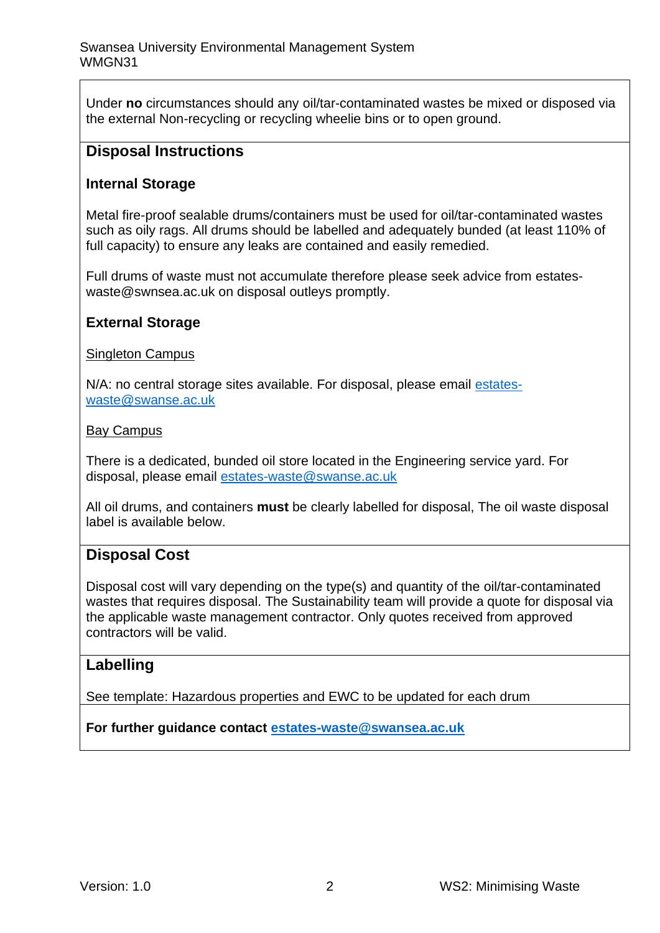Under **no** circumstances should any oil/tar-contaminated wastes be mixed or disposed via the external Non-recycling or recycling wheelie bins or to open ground.

#### **Disposal Instructions**

#### **Internal Storage**

Metal fire-proof sealable drums/containers must be used for oil/tar-contaminated wastes such as oily rags. All drums should be labelled and adequately bunded (at least 110% of full capacity) to ensure any leaks are contained and easily remedied.

Full drums of waste must not accumulate therefore please seek advice from estateswaste@swnsea.ac.uk on disposal outleys promptly.

#### **External Storage**

#### Singleton Campus

N/A: no central storage sites available. For disposal, please email [estates](mailto:estates-waste@swanse.ac.uk)[waste@swanse.ac.uk](mailto:estates-waste@swanse.ac.uk)

#### Bay Campus

There is a dedicated, bunded oil store located in the Engineering service yard. For disposal, please email [estates-waste@swanse.ac.uk](mailto:estates-waste@swanse.ac.uk)

All oil drums, and containers **must** be clearly labelled for disposal, The oil waste disposal label is available below.

### **Disposal Cost**

Disposal cost will vary depending on the type(s) and quantity of the oil/tar-contaminated wastes that requires disposal. The Sustainability team will provide a quote for disposal via the applicable waste management contractor. Only quotes received from approved contractors will be valid.

#### **Labelling**

See template: Hazardous properties and EWC to be updated for each drum

**For further guidance contact [estates-waste@swansea.ac.uk](mailto:estates-waste@swansea.ac.uk)**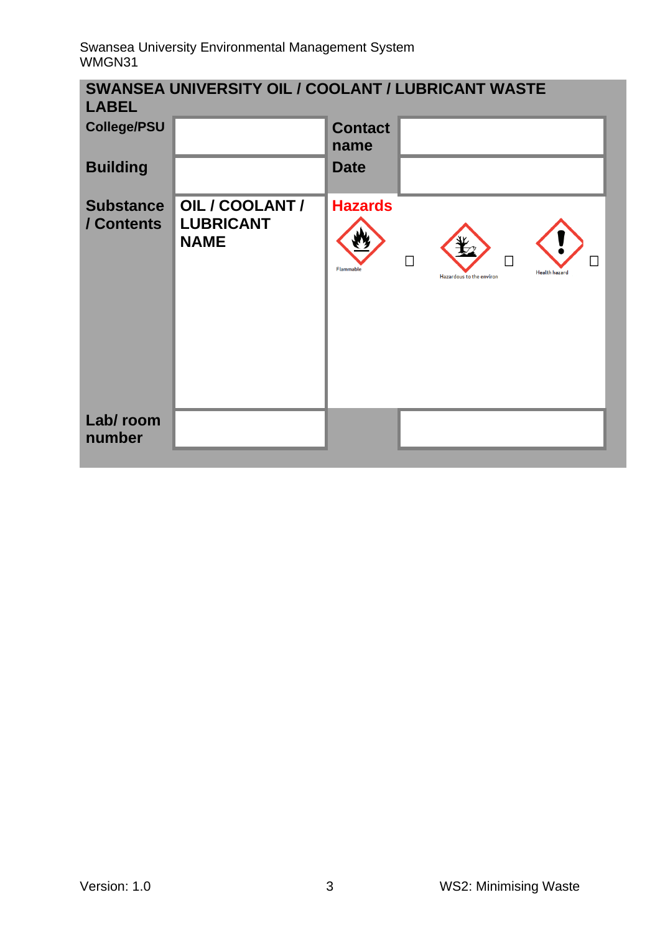| <b>SWANSEA UNIVERSITY OIL / COOLANT / LUBRICANT WASTE</b><br><b>LABEL</b> |                                                    |                                    |                                                                    |  |
|---------------------------------------------------------------------------|----------------------------------------------------|------------------------------------|--------------------------------------------------------------------|--|
| <b>College/PSU</b>                                                        |                                                    | <b>Contact</b><br>name             |                                                                    |  |
| <b>Building</b>                                                           |                                                    | <b>Date</b>                        |                                                                    |  |
| <b>Substance</b><br>/ Contents                                            | OIL / COOLANT /<br><b>LUBRICANT</b><br><b>NAME</b> | <b>Hazards</b><br><b>Flammable</b> | П<br>П<br><b>Health hazard</b><br><b>Hazardous to the environr</b> |  |
| Lab/room<br>number                                                        |                                                    |                                    |                                                                    |  |